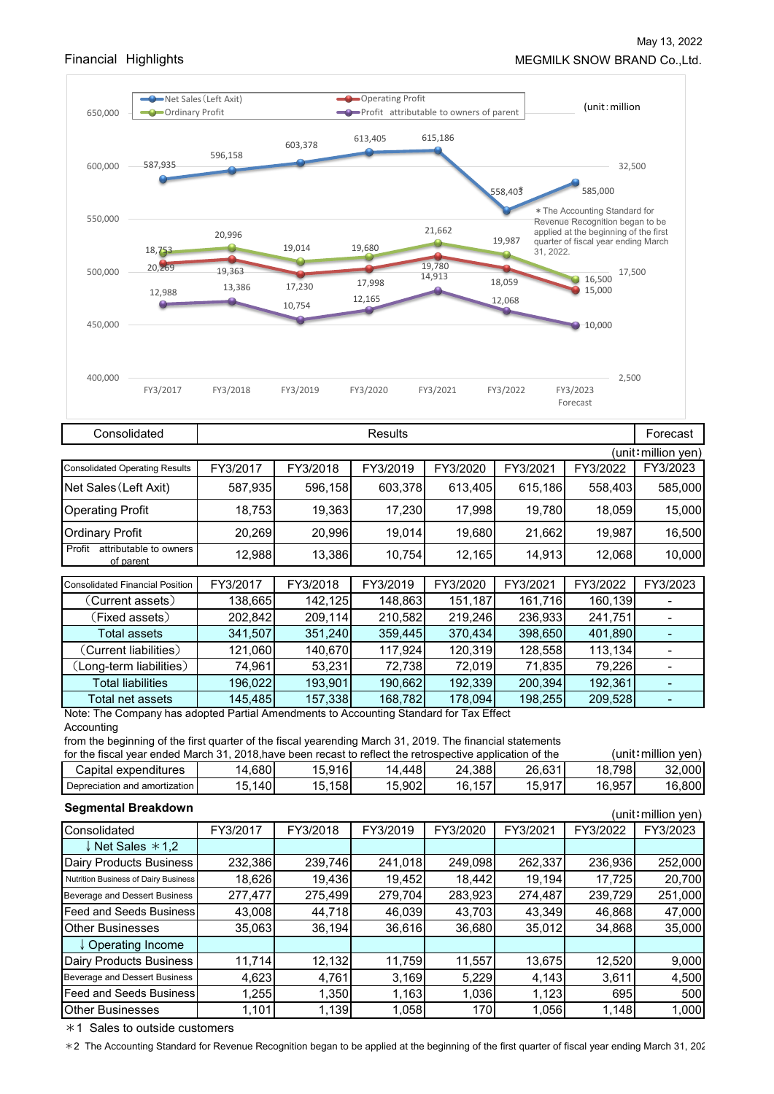

|                                                         | (unit: million yen) |          |          |                  |          |          |          |  |  |
|---------------------------------------------------------|---------------------|----------|----------|------------------|----------|----------|----------|--|--|
| <b>Consolidated Operating Results</b>                   | FY3/2017            | FY3/2018 | FY3/2019 | FY3/2020         | FY3/2021 | FY3/2022 | FY3/2023 |  |  |
| Net Sales (Left Axit)                                   | 587,935             | 596,158  | 603,378  | 613,405          | 615,186  | 558,403  | 585,000  |  |  |
| <b>Operating Profit</b>                                 | 18,753              | 19,363   | 17,230   | 17,998           | 19,780   | 18,059   | 15,000   |  |  |
| <b>Ordinary Profit</b>                                  | 20,269              | 20,996   | 19,014   | 19,680           | 21,662   | 19,987   | 16,500   |  |  |
| attributable to owners<br>Profit<br>of parent           | 12,988              | 13,386   | 10,754   | 12,165           | 14,913   | 12,068   | 10,000   |  |  |
|                                                         |                     |          |          |                  |          |          |          |  |  |
| <b>Consolidated Financial Position</b>                  | FY3/2017            | FY3/2018 | FY3/2019 | FY3/2020         | FY3/2021 | FY3/2022 | FY3/2023 |  |  |
| (Current assets)                                        | 138,665             | 142,125  | 148,863  | 151,187          | 161,716  | 160,139  |          |  |  |
| (Fixed assets)                                          | 202,842             | 209,114  | 210,582  | 219,246          | 236,933  | 241,751  |          |  |  |
| Total assets                                            | 341,507             | 351,240  | 359,445  | 370,434          | 398,650  | 401,890  |          |  |  |
| (Current liabilities)                                   | 121,060             | 140,670  | 117,924  | 120,319          | 128,558  | 113,134  |          |  |  |
| (Long-term liabilities)                                 | 74,961              | 53,231   | 72,738   | 72,019           | 71,835   | 79,226   |          |  |  |
| <b>Total liabilities</b>                                | 196,022             | 193,901  | 190,662  | 192,339          | 200,394  | 192,361  |          |  |  |
| Total net assets<br>1.1.1.<br>$\mathbf{L}$ $\mathbf{L}$ | 145,485             | 157,338  | 168,782  | 178,094<br>r co- | 198,255  | 209,528  |          |  |  |

Note: The Company has adopted Partial Amendments to Accounting Standard for Tax Effect Accounting

from the beginning of the first quarter of the fiscal yearending March 31, 2019. The financial statements

| for the fiscal vear ended March 31, 2018 have been recast to reflect the retrospective application of the |        |        |        |        |        |        | (unit∶million ven) |  |
|-----------------------------------------------------------------------------------------------------------|--------|--------|--------|--------|--------|--------|--------------------|--|
| Capital expenditures                                                                                      | 4,680  | 15.916 | .448   | 24,388 | 26,631 | 18.798 | 32.000             |  |
| Depreciation and amortization                                                                             | 15,140 | 15,158 | 15,902 | 16,157 | 15,917 | 16,957 | 16,800             |  |

| <b>Segmental Breakdown</b><br>(unit∶million yen) |          |          |          |          |          |          |          |  |
|--------------------------------------------------|----------|----------|----------|----------|----------|----------|----------|--|
| Consolidated                                     | FY3/2017 | FY3/2018 | FY3/2019 | FY3/2020 | FY3/2021 | FY3/2022 | FY3/2023 |  |
| ↓ Net Sales *1.2                                 |          |          |          |          |          |          |          |  |
| Dairy Products Business                          | 232,386  | 239,746  | 241,018  | 249,098  | 262,337  | 236,936  | 252,000  |  |
| Nutrition Business of Dairy Business             | 18,626   | 19,436   | 19,452   | 18,442   | 19,194   | 17,725   | 20,700   |  |
| Beverage and Dessert Business                    | 277,477  | 275,499  | 279,704  | 283,923  | 274,487  | 239,729  | 251,000  |  |
| <b>Feed and Seeds Business</b>                   | 43,008   | 44,718   | 46,039   | 43,703   | 43,349   | 46,868   | 47,000   |  |
| <b>Other Businesses</b>                          | 35,063   | 36,194   | 36,616   | 36,680   | 35,012   | 34,868   | 35,000   |  |
| ↓ Operating Income                               |          |          |          |          |          |          |          |  |
| Dairy Products Business                          | 11,714   | 12,132   | 11,759   | 11,557   | 13,675   | 12,520   | 9,000    |  |
| Beverage and Dessert Business                    | 4,623    | 4,761    | 3,169    | 5,229    | 4,143    | 3,611    | 4,500    |  |
| <b>Feed and Seeds Business</b>                   | 1,255    | 1,350    | 1,163    | 1,036    | 1,123    | 695      | 500      |  |
| <b>Other Businesses</b>                          | 1,101    | 1,139    | 1,058    | 170      | 1,056    | 1,148    | 1,000    |  |

 $*1$  Sales to outside customers

\*2 The Accounting Standard for Revenue Recognition began to be applied at the beginning of the first quarter of fiscal year ending March 31, 202